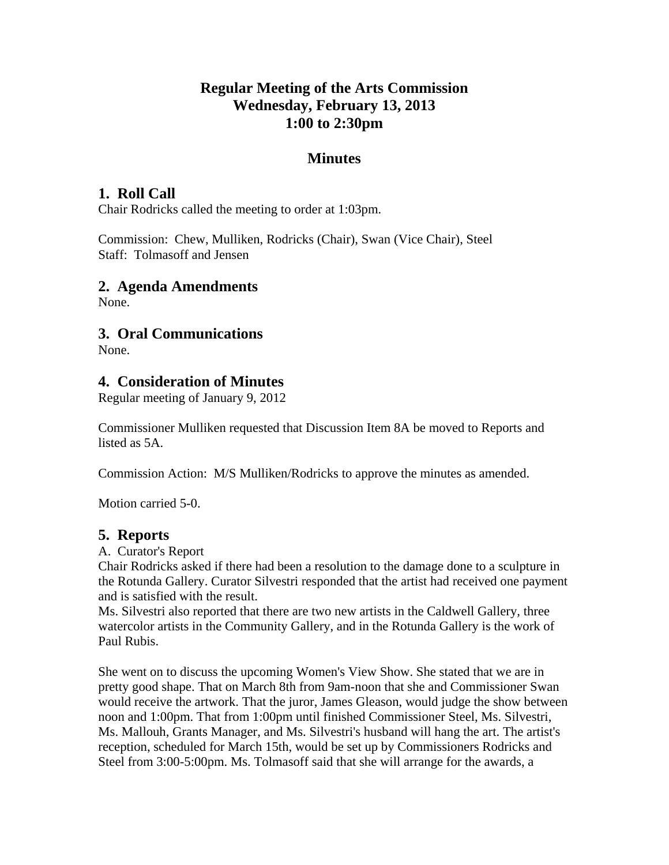# **Regular Meeting of the Arts Commission Wednesday, February 13, 2013 1:00 to 2:30pm**

## **Minutes**

### **1. Roll Call**

Chair Rodricks called the meeting to order at 1:03pm.

Commission: Chew, Mulliken, Rodricks (Chair), Swan (Vice Chair), Steel Staff: Tolmasoff and Jensen

### **2. Agenda Amendments**

None.

## **3. Oral Communications**

None.

### **4. Consideration of Minutes**

Regular meeting of January 9, 2012

Commissioner Mulliken requested that Discussion Item 8A be moved to Reports and listed as 5A.

Commission Action: M/S Mulliken/Rodricks to approve the minutes as amended.

Motion carried 5-0.

### **5. Reports**

A. Curator's Report

Chair Rodricks asked if there had been a resolution to the damage done to a sculpture in the Rotunda Gallery. Curator Silvestri responded that the artist had received one payment and is satisfied with the result.

Ms. Silvestri also reported that there are two new artists in the Caldwell Gallery, three watercolor artists in the Community Gallery, and in the Rotunda Gallery is the work of Paul Rubis.

She went on to discuss the upcoming Women's View Show. She stated that we are in pretty good shape. That on March 8th from 9am-noon that she and Commissioner Swan would receive the artwork. That the juror, James Gleason, would judge the show between noon and 1:00pm. That from 1:00pm until finished Commissioner Steel, Ms. Silvestri, Ms. Mallouh, Grants Manager, and Ms. Silvestri's husband will hang the art. The artist's reception, scheduled for March 15th, would be set up by Commissioners Rodricks and Steel from 3:00-5:00pm. Ms. Tolmasoff said that she will arrange for the awards, a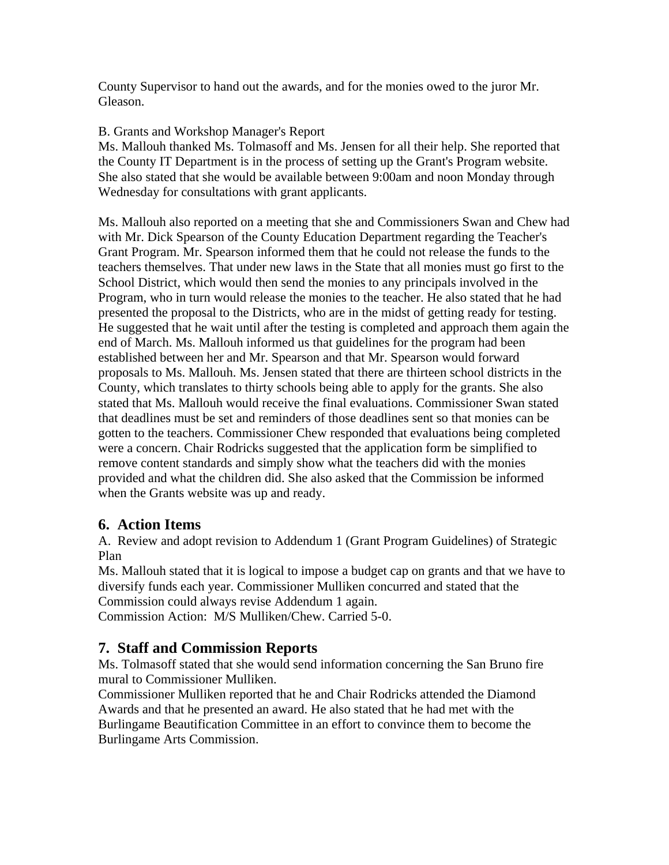County Supervisor to hand out the awards, and for the monies owed to the juror Mr. Gleason.

#### B. Grants and Workshop Manager's Report

Ms. Mallouh thanked Ms. Tolmasoff and Ms. Jensen for all their help. She reported that the County IT Department is in the process of setting up the Grant's Program website. She also stated that she would be available between 9:00am and noon Monday through Wednesday for consultations with grant applicants.

Ms. Mallouh also reported on a meeting that she and Commissioners Swan and Chew had with Mr. Dick Spearson of the County Education Department regarding the Teacher's Grant Program. Mr. Spearson informed them that he could not release the funds to the teachers themselves. That under new laws in the State that all monies must go first to the School District, which would then send the monies to any principals involved in the Program, who in turn would release the monies to the teacher. He also stated that he had presented the proposal to the Districts, who are in the midst of getting ready for testing. He suggested that he wait until after the testing is completed and approach them again the end of March. Ms. Mallouh informed us that guidelines for the program had been established between her and Mr. Spearson and that Mr. Spearson would forward proposals to Ms. Mallouh. Ms. Jensen stated that there are thirteen school districts in the County, which translates to thirty schools being able to apply for the grants. She also stated that Ms. Mallouh would receive the final evaluations. Commissioner Swan stated that deadlines must be set and reminders of those deadlines sent so that monies can be gotten to the teachers. Commissioner Chew responded that evaluations being completed were a concern. Chair Rodricks suggested that the application form be simplified to remove content standards and simply show what the teachers did with the monies provided and what the children did. She also asked that the Commission be informed when the Grants website was up and ready.

## **6. Action Items**

A. Review and adopt revision to Addendum 1 (Grant Program Guidelines) of Strategic Plan

Ms. Mallouh stated that it is logical to impose a budget cap on grants and that we have to diversify funds each year. Commissioner Mulliken concurred and stated that the Commission could always revise Addendum 1 again.

Commission Action: M/S Mulliken/Chew. Carried 5-0.

## **7. Staff and Commission Reports**

Ms. Tolmasoff stated that she would send information concerning the San Bruno fire mural to Commissioner Mulliken.

Commissioner Mulliken reported that he and Chair Rodricks attended the Diamond Awards and that he presented an award. He also stated that he had met with the Burlingame Beautification Committee in an effort to convince them to become the Burlingame Arts Commission.